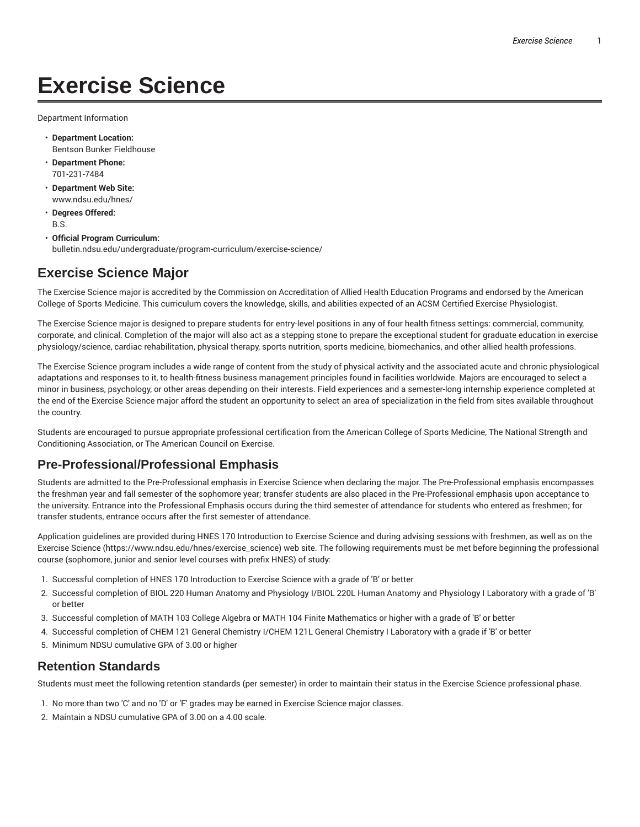# **Exercise Science**

Department Information

- **Department Location:** Bentson Bunker Fieldhouse
- **Department Phone:** 701-231-7484
- **Department Web Site:** www.ndsu.edu/hnes/
- **Degrees Offered:** B.S.
- **Official Program Curriculum:** bulletin.ndsu.edu/undergraduate/program-curriculum/exercise-science/

## **Exercise Science Major**

The Exercise Science major is accredited by the Commission on Accreditation of Allied Health Education Programs and endorsed by the American College of Sports Medicine. This curriculum covers the knowledge, skills, and abilities expected of an ACSM Certified Exercise Physiologist.

The Exercise Science major is designed to prepare students for entry-level positions in any of four health fitness settings: commercial, community, corporate, and clinical. Completion of the major will also act as a stepping stone to prepare the exceptional student for graduate education in exercise physiology/science, cardiac rehabilitation, physical therapy, sports nutrition, sports medicine, biomechanics, and other allied health professions.

The Exercise Science program includes a wide range of content from the study of physical activity and the associated acute and chronic physiological adaptations and responses to it, to health-fitness business management principles found in facilities worldwide. Majors are encouraged to select a minor in business, psychology, or other areas depending on their interests. Field experiences and a semester-long internship experience completed at the end of the Exercise Science major afford the student an opportunity to select an area of specialization in the field from sites available throughout the country.

Students are encouraged to pursue appropriate professional certification from the American College of Sports Medicine, The National Strength and Conditioning Association, or The American Council on Exercise.

#### **Pre-Professional/Professional Emphasis**

Students are admitted to the Pre-Professional emphasis in Exercise Science when declaring the major. The Pre-Professional emphasis encompasses the freshman year and fall semester of the sophomore year; transfer students are also placed in the Pre-Professional emphasis upon acceptance to the university. Entrance into the Professional Emphasis occurs during the third semester of attendance for students who entered as freshmen; for transfer students, entrance occurs after the first semester of attendance.

Application guidelines are provided during HNES 170 Introduction to Exercise Science and during advising sessions with freshmen, as well as on the Exercise Science (https://www.ndsu.edu/hnes/exercise\_science) web site. The following requirements must be met before beginning the professional course (sophomore, junior and senior level courses with prefix HNES) of study:

- 1. Successful completion of HNES 170 Introduction to Exercise Science with a grade of 'B' or better
- 2. Successful completion of BIOL 220 Human Anatomy and Physiology I/BIOL 220L Human Anatomy and Physiology I Laboratory with a grade of 'B' or better
- 3. Successful completion of MATH 103 College Algebra or MATH 104 Finite Mathematics or higher with a grade of 'B' or better
- 4. Successful completion of CHEM 121 General Chemistry I/CHEM 121L General Chemistry I Laboratory with a grade if 'B' or better
- 5. Minimum NDSU cumulative GPA of 3.00 or higher

#### **Retention Standards**

Students must meet the following retention standards (per semester) in order to maintain their status in the Exercise Science professional phase.

- 1. No more than two 'C' and no 'D' or 'F' grades may be earned in Exercise Science major classes.
- 2. Maintain a NDSU cumulative GPA of 3.00 on a 4.00 scale.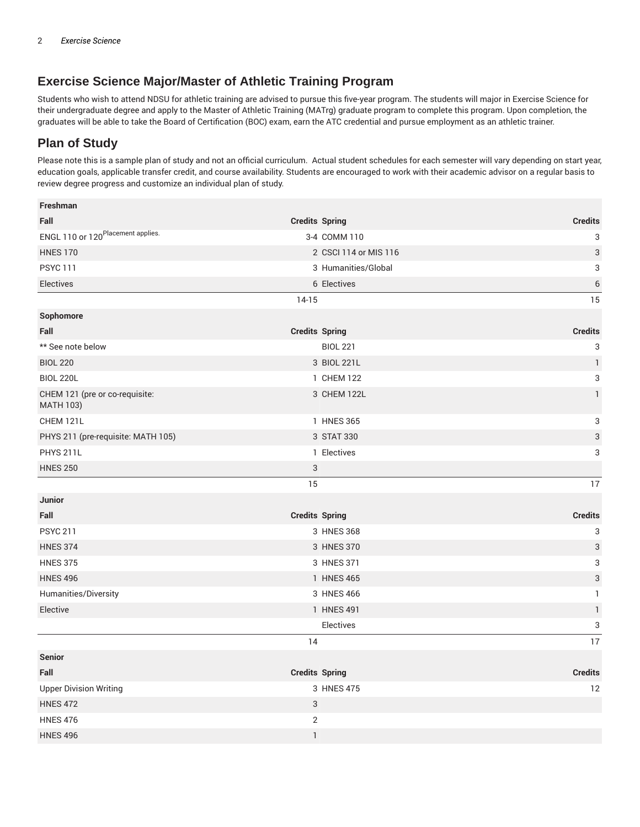### **Exercise Science Major/Master of Athletic Training Program**

Students who wish to attend NDSU for athletic training are advised to pursue this five-year program. The students will major in Exercise Science for their undergraduate degree and apply to the Master of Athletic Training (MATrg) graduate program to complete this program. Upon completion, the graduates will be able to take the Board of Certification (BOC) exam, earn the ATC credential and pursue employment as an athletic trainer.

## **Plan of Study**

Please note this is a sample plan of study and not an official curriculum. Actual student schedules for each semester will vary depending on start year, education goals, applicable transfer credit, and course availability. Students are encouraged to work with their academic advisor on a regular basis to review degree progress and customize an individual plan of study.

| Freshman                                           |                       |                           |
|----------------------------------------------------|-----------------------|---------------------------|
| Fall                                               | <b>Credits Spring</b> | <b>Credits</b>            |
| ENGL 110 or 120 <sup>Placement</sup> applies.      | 3-4 COMM 110          | 3                         |
| <b>HNES 170</b>                                    | 2 CSCI 114 or MIS 116 | 3                         |
| <b>PSYC 111</b>                                    | 3 Humanities/Global   | 3                         |
| Electives                                          | 6 Electives           | $\overline{6}$            |
|                                                    | $14-15$               | 15                        |
| Sophomore                                          |                       |                           |
| Fall                                               | <b>Credits Spring</b> | <b>Credits</b>            |
| ** See note below                                  | <b>BIOL 221</b>       | 3                         |
| <b>BIOL 220</b>                                    | 3 BIOL 221L           | $\mathbf{1}$              |
| <b>BIOL 220L</b>                                   | 1 CHEM 122            | 3                         |
| CHEM 121 (pre or co-requisite:<br><b>MATH 103)</b> | 3 CHEM 122L           | $\mathbf{1}$              |
| CHEM 121L                                          | 1 HNES 365            | 3                         |
| PHYS 211 (pre-requisite: MATH 105)                 | 3 STAT 330            | 3                         |
| <b>PHYS 211L</b>                                   | 1 Electives           | 3                         |
| <b>HNES 250</b>                                    | $\sqrt{3}$            |                           |
|                                                    | 15                    | 17                        |
| <b>Junior</b>                                      |                       |                           |
| Fall                                               | <b>Credits Spring</b> | <b>Credits</b>            |
| <b>PSYC 211</b>                                    | 3 HNES 368            | $\ensuremath{\mathsf{3}}$ |
| <b>HNES 374</b>                                    | 3 HNES 370            | 3                         |
| <b>HNES 375</b>                                    | 3 HNES 371            | 3                         |
| <b>HNES 496</b>                                    | 1 HNES 465            | 3                         |
| Humanities/Diversity                               | 3 HNES 466            | 1                         |
| Elective                                           | 1 HNES 491            | $\mathbf{1}$              |
|                                                    | Electives             | 3                         |
|                                                    | 14                    | 17                        |
| <b>Senior</b>                                      |                       |                           |
| Fall                                               | <b>Credits Spring</b> | <b>Credits</b>            |
| <b>Upper Division Writing</b>                      | 3 HNES 475            | 12                        |
| <b>HNES 472</b>                                    | $\sqrt{3}$            |                           |
| <b>HNES 476</b>                                    | 2                     |                           |
| <b>HNES 496</b>                                    | $\mathbf{1}$          |                           |